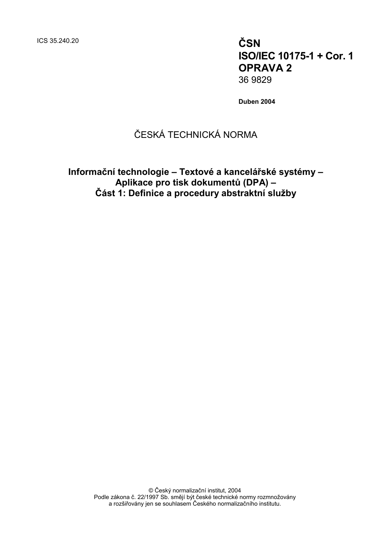ICS 35.240.20 **ČSN**

**ISO/IEC 10175-1 + Cor. 1 OPRAVA 2** 36 9829

**Duben 2004**

## ČESKÁ TECHNICKÁ NORMA

**Informační technologie – Textové a kancelářské systémy – Aplikace pro tisk dokumentů (DPA) – Část 1: Definice a procedury abstraktní služby**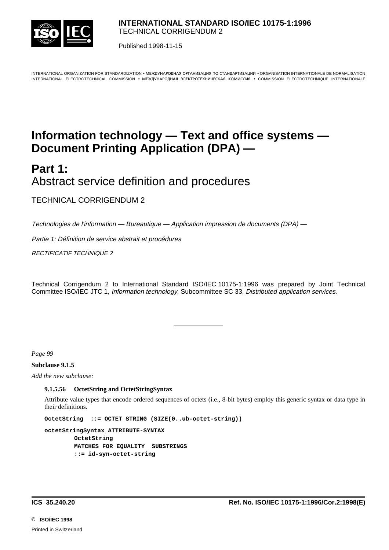

Published 1998-11-15

INTERNATIONAL ORGANIZATION FOR STANDARDIZATION • MEЖДУНАРОДНАЯ ОРГАНИЗАЦИЯ ПО СТАНДАРТИЗАЦИИ • ORGANISATION INTERNATIONALE DE NORMALISATION INTERNATIONAL ELECTROTECHNICAL COMMISSION • MEЖДУНАРОДНАЯ ЭЛЕКТРОТЕХНИЧЕСКАЯ КОМИССИЯ • COMMISSION ÉLECTROTECHNIQUE INTERNATIONALE

# **Information technology — Text and office systems — Document Printing Application (DPA) —**

**Part 1:** Abstract service definition and procedures

TECHNICAL CORRIGENDUM 2

Technologies de l'information — Bureautique — Application impression de documents (DPA) —

l

Partie 1: Définition de service abstrait et procédures

RECTIFICATIF TECHNIQUE 2

Technical Corrigendum 2 to International Standard ISO/IEC 10175-1:1996 was prepared by Joint Technical Committee ISO/IEC JTC 1, Information technology, Subcommittee SC 33, Distributed application services.

*Page 99*

**Subclause 9.1.5**

*Add the new subclause:*

#### **9.1.5.56 OctetString and OctetStringSyntax**

Attribute value types that encode ordered sequences of octets (i.e., 8-bit bytes) employ this generic syntax or data type in their definitions.

**OctetString ::= OCTET STRING (SIZE(0..ub-octet-string))**

**octetStringSyntax ATTRIBUTE-SYNTAX OctetString MATCHES FOR EQUALITY SUBSTRINGS ::= id-syn-octet-string**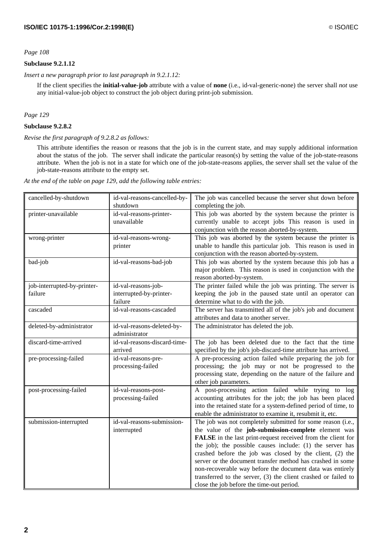## **Subclause 9.2.1.12**

*Insert a new paragraph prior to last paragraph in 9.2.1.12:*

If the client specifies the **initial-value-job** attribute with a value of **none** (i.e., id-val-generic-none) the server shall *not* use any initial-value-job object to construct the job object during print-job submission.

#### *Page 129*

## **Subclause 9.2.8.2**

#### *Revise the first paragraph of 9.2.8.2 as follows:*

This attribute identifies the reason or reasons that the job is in the current state, and may supply additional information about the status of the job. The server shall indicate the particular reason(s) by setting the value of the job-state-reasons attribute. When the job is not in a state for which one of the job-state-reasons applies, the server shall set the value of the job-state-reasons attribute to the empty set.

*At the end of the table on page 129, add the following table entries:*

| cancelled-by-shutdown       | id-val-reasons-cancelled-by-                | The job was cancelled because the server shut down before                                              |
|-----------------------------|---------------------------------------------|--------------------------------------------------------------------------------------------------------|
|                             | shutdown                                    | completing the job.                                                                                    |
| printer-unavailable         | id-val-reasons-printer-                     | This job was aborted by the system because the printer is                                              |
|                             | unavailable                                 | currently unable to accept jobs This reason is used in                                                 |
|                             |                                             | conjunction with the reason aborted-by-system.                                                         |
| wrong-printer               | id-val-reasons-wrong-                       | This job was aborted by the system because the printer is                                              |
|                             | printer                                     | unable to handle this particular job. This reason is used in                                           |
|                             |                                             | conjunction with the reason aborted-by-system.                                                         |
| bad-job                     | id-val-reasons-bad-job                      | This job was aborted by the system because this job has a                                              |
|                             |                                             | major problem. This reason is used in conjunction with the                                             |
|                             |                                             | reason aborted-by-system.                                                                              |
| job-interrupted-by-printer- | id-val-reasons-job-                         | The printer failed while the job was printing. The server is                                           |
| failure                     | interrupted-by-printer-                     | keeping the job in the paused state until an operator can                                              |
|                             | failure                                     | determine what to do with the job.                                                                     |
| cascaded                    | id-val-reasons-cascaded                     | The server has transmitted all of the job's job and document<br>attributes and data to another server. |
|                             |                                             | The administrator has deleted the job.                                                                 |
| deleted-by-administrator    | id-val-reasons-deleted-by-<br>administrator |                                                                                                        |
| discard-time-arrived        | id-val-reasons-discard-time-                | The job has been deleted due to the fact that the time                                                 |
|                             | arrived                                     | specified by the job's job-discard-time attribute has arrived.                                         |
| pre-processing-failed       | id-val-reasons-pre-                         | A pre-processing action failed while preparing the job for                                             |
|                             | processing-failed                           | processing; the job may or not be progressed to the                                                    |
|                             |                                             | processing state, depending on the nature of the failure and                                           |
|                             |                                             | other job parameters.                                                                                  |
| post-processing-failed      | id-val-reasons-post-                        | A post-processing action failed while trying to log                                                    |
|                             | processing-failed                           | accounting attributes for the job; the job has been placed                                             |
|                             |                                             | into the retained state for a system-defined period of time, to                                        |
|                             |                                             | enable the administrator to examine it, resubmit it, etc.                                              |
| submission-interrupted      | id-val-reasons-submission-                  | The job was not completely submitted for some reason (i.e.,                                            |
|                             | interrupted                                 | the value of the job-submission-complete element was                                                   |
|                             |                                             | FALSE in the last print-request received from the client for                                           |
|                             |                                             | the job); the possible causes include: (1) the server has                                              |
|                             |                                             | crashed before the job was closed by the client, (2) the                                               |
|                             |                                             | server or the document transfer method has crashed in some                                             |
|                             |                                             | non-recoverable way before the document data was entirely                                              |
|                             |                                             | transferred to the server, $(3)$ the client crashed or failed to                                       |
|                             |                                             | close the job before the time-out period.                                                              |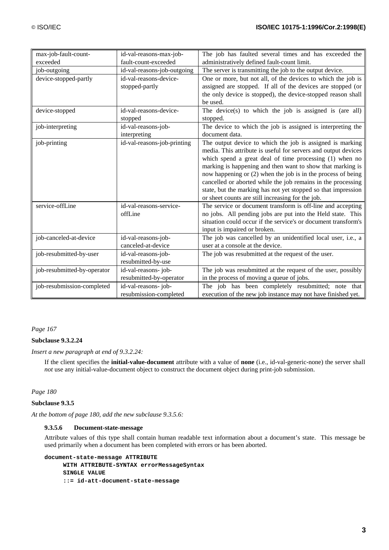| max-job-fault-count-        | id-val-reasons-max-job-     | The job has faulted several times and has exceeded the         |  |
|-----------------------------|-----------------------------|----------------------------------------------------------------|--|
| exceeded                    | fault-count-exceeded        | administratively defined fault-count limit.                    |  |
| job-outgoing                | id-val-reasons-job-outgoing | The server is transmitting the job to the output device.       |  |
| device-stopped-partly       | id-val-reasons-device-      | One or more, but not all, of the devices to which the job is   |  |
|                             | stopped-partly              | assigned are stopped. If all of the devices are stopped (or    |  |
|                             |                             | the only device is stopped), the device-stopped reason shall   |  |
|                             |                             | be used.                                                       |  |
| device-stopped              | id-val-reasons-device-      | The device(s) to which the job is assigned is (are all)        |  |
|                             | stopped                     | stopped.                                                       |  |
| job-interpreting            | id-val-reasons-job-         | The device to which the job is assigned is interpreting the    |  |
|                             | interpreting                | document data.                                                 |  |
| job-printing                | id-val-reasons-job-printing | The output device to which the job is assigned is marking      |  |
|                             |                             | media. This attribute is useful for servers and output devices |  |
|                             |                             | which spend a great deal of time processing (1) when no        |  |
|                             |                             | marking is happening and then want to show that marking is     |  |
|                             |                             | now happening or (2) when the job is in the process of being   |  |
|                             |                             | cancelled or aborted while the job remains in the processing   |  |
|                             |                             | state, but the marking has not yet stopped so that impression  |  |
|                             |                             | or sheet counts are still increasing for the job.              |  |
| service-offLine             | id-val-reasons-service-     | The service or document transform is off-line and accepting    |  |
|                             | offLine                     | no jobs. All pending jobs are put into the Held state. This    |  |
|                             |                             | situation could occur if the service's or document transform's |  |
|                             |                             | input is impaired or broken.                                   |  |
| job-canceled-at-device      | id-val-reasons-job-         | The job was cancelled by an unidentified local user, i.e., a   |  |
|                             | canceled-at-device          | user at a console at the device.                               |  |
| job-resubmitted-by-user     | id-val-reasons-job-         | The job was resubmitted at the request of the user.            |  |
|                             | resubmitted-by-use          |                                                                |  |
| job-resubmitted-by-operator | id-val-reasons-job-         | The job was resubmitted at the request of the user, possibly   |  |
|                             | resubmitted-by-operator     | in the process of moving a queue of jobs.                      |  |
| job-resubmission-completed  | id-val-reasons-job-         | The job has been completely resubmitted; note that             |  |
|                             | resubmission-completed      | execution of the new job instance may not have finished yet.   |  |

### **Subclause 9.3.2.24**

*Insert a new paragraph at end of 9.3.2.24:*

If the client specifies the **initial-value-document** attribute with a value of **none** (i.e., id-val-generic-none) the server shall *not* use any initial-value-document object to construct the document object during print-job submission.

*Page 180*

#### **Subclause 9.3.5**

*At the bottom of page 180, add the new subclause 9.3.5.6:*

#### **9.3.5.6 Document-state-message**

Attribute values of this type shall contain human readable text information about a document's state. This message be used primarily when a document has been completed with errors or has been aborted.

```
document-state-message ATTRIBUTE
     WITH ATTRIBUTE-SYNTAX errorMessageSyntax
     SINGLE VALUE
     ::= id-att-document-state-message
```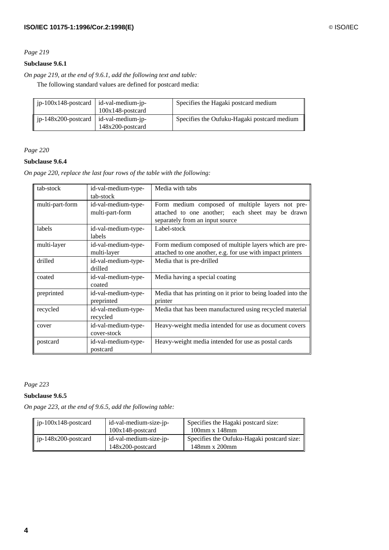## **Subclause 9.6.1**

*On page 219, at the end of 9.6.1, add the following text and table:*

The following standard values are defined for postcard media:

| $ip-100x148$ -postcard   id-val-medium-jp- |                                          | Specifies the Hagaki postcard medium        |
|--------------------------------------------|------------------------------------------|---------------------------------------------|
|                                            | $100x148$ -postcard                      |                                             |
| $ip-148x200$ -postcard                     | id-val-medium-ip-<br>$148x200$ -postcard | Specifies the Oufuku-Hagaki postcard medium |

*Page 220*

## **Subclause 9.6.4**

*On page 220, replace the last four rows of the table with the following:*

| tab-stock       | id-val-medium-type-<br>tab-stock       | Media with tabs                                                                                                                         |
|-----------------|----------------------------------------|-----------------------------------------------------------------------------------------------------------------------------------------|
| multi-part-form | id-val-medium-type-<br>multi-part-form | Form medium composed of multiple layers not pre-<br>attached to one another; each sheet may be drawn<br>separately from an input source |
| labels          | id-val-medium-type-<br>labels          | Label-stock                                                                                                                             |
| multi-layer     | id-val-medium-type-<br>multi-layer     | Form medium composed of multiple layers which are pre-<br>attached to one another, e.g. for use with impact printers                    |
| drilled         | id-val-medium-type-<br>drilled         | Media that is pre-drilled                                                                                                               |
| coated          | id-val-medium-type-<br>coated          | Media having a special coating                                                                                                          |
| preprinted      | id-val-medium-type-<br>preprinted      | Media that has printing on it prior to being loaded into the<br>printer                                                                 |
| recycled        | id-val-medium-type-<br>recycled        | Media that has been manufactured using recycled material                                                                                |
| cover           | id-val-medium-type-<br>cover-stock     | Heavy-weight media intended for use as document covers                                                                                  |
| postcard        | id-val-medium-type-<br>postcard        | Heavy-weight media intended for use as postal cards                                                                                     |

*Page 223*

## **Subclause 9.6.5**

*On page 223, at the end of 9.6.5, add the following table:*

| $\vert$ ip-100x148-postcard     | id-val-medium-size-ip- | Specifies the Hagaki postcard size:        |  |  |
|---------------------------------|------------------------|--------------------------------------------|--|--|
|                                 | $100x148$ -postcard    | $100$ mm x $148$ mm                        |  |  |
| $\parallel$ jp-148x200-postcard | id-val-medium-size-jp- | Specifies the Oufuku-Hagaki postcard size: |  |  |
|                                 | $148x200$ -postcard    | 148mm x 200mm                              |  |  |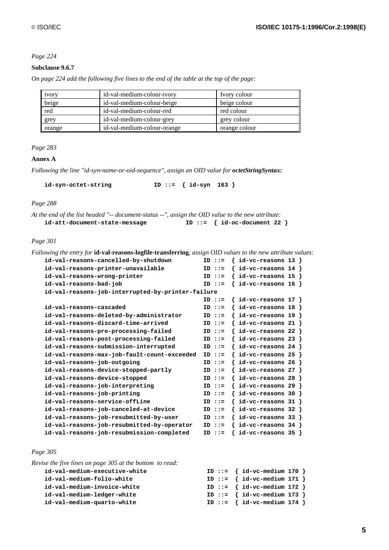## **Subclause 9.6.7**

*On page 224 add the following five lines to the end of the table at the top of the page:*

| 1VOTY  | id-val-medium-colour-ivory  | Ivory colour  |
|--------|-----------------------------|---------------|
| beige  | id-val-medium-colour-beige  | beige colour  |
| red    | id-val-medium-colour-red    | red colour    |
| grey   | id-val-medium-colour-grey   | grey colour   |
| orange | id-val-medium-colour-orange | orange colour |

## *Page 283*

#### **Annex A**

*Following the line "id-syn-name-or-oid-sequence", assign an OID value for octetStringSyntax:*

**id-syn-octet-string ID ::= { id-syn 163 }**

*Page 288*

| At the end of the list headed "-- document-status --", assign the OID value to the new attribute: |                                 |
|---------------------------------------------------------------------------------------------------|---------------------------------|
| id-att-document-state-message                                                                     | ID ::= $\{id-oc-document 22 \}$ |

*Page 301*

| Following the entry for <b>id-val-reasons-logfile-transferring</b> , assign OID values to the new attribute values: |           |                             |  |
|---------------------------------------------------------------------------------------------------------------------|-----------|-----------------------------|--|
| id-val-reasons-cancelled-by-shutdown                                                                                | $ID :: =$ | $\{ id$ -vc-reasons 13 $\}$ |  |
| id-val-reasons-printer-unavailable                                                                                  | $ID :: =$ | id-vc-reasons $14$ }        |  |
| id-val-reasons-wrong-printer                                                                                        | $ID :: =$ | id-vc-reasons $15$ }        |  |
| id-val-reasons-bad-job                                                                                              | $ID :: =$ | id-vc-reasons $16$ }        |  |
| id-val-reasons-job-interrupted-by-printer-failure                                                                   |           |                             |  |
|                                                                                                                     | $ID :: =$ | $\{$ id-vc-reasons 17 $\}$  |  |
| id-val-reasons-cascaded                                                                                             | $ID :: =$ | id-vc-reasons $18$ }        |  |
| id-val-reasons-deleted-by-administrator                                                                             | $ID :: =$ | id-vc-reasons $19$ }        |  |
| id-val-reasons-discard-time-arrived                                                                                 | $ID :: =$ | id-vc-reasons 21            |  |
| id-val-reasons-pre-processing-failed                                                                                | $ID :: =$ | id-vc-reasons 22            |  |
| id-val-reasons-post-processing-failed                                                                               | $ID :: =$ | id-vc-reasons 23            |  |
| id-val-reasons-submission-interrupted                                                                               | $ID :: =$ | id-vc-reasons $24$ }        |  |
| id-val-reasons-max-job-fault-count-exceeded                                                                         | $ID :: =$ | id-vc-reasons 25            |  |
| id-val-reasons-job-outgoing                                                                                         | $ID :: =$ | id-vc-reasons 26            |  |
| id-val-reasons-device-stopped-partly                                                                                | $ID :: =$ | id-vc-reasons 27            |  |
| id-val-reasons-device-stopped                                                                                       | $ID :: =$ | id-vc-reasons 28            |  |
| id-val-reasons-job-interpreting                                                                                     | $ID :: =$ | id-vc-reasons 29            |  |
| id-val-reasons-job-printing                                                                                         | $ID :: =$ | id-vc-reasons 30            |  |
| id-val-reasons-service-offLine                                                                                      | $ID :: =$ | id-vc-reasons 31            |  |
| id-val-reasons-job-canceled-at-device                                                                               | $ID :: =$ | id-vc-reasons 32            |  |
| id-val-reasons-job-resubmitted-by-user                                                                              | $ID :: =$ | id-vc-reasons 33            |  |
| id-val-reasons-job-resubmitted-by-operator                                                                          | $ID :: =$ | id-vc-reasons $34$ }        |  |
| id-val-reasons-job-resubmission-completed                                                                           | $ID :: =$ | $id$ -vc-reasons 35 $\}$    |  |
|                                                                                                                     |           |                             |  |

*Page 305*

| Revise the five lines on page 305 at the bottom to read: |                                 |  |
|----------------------------------------------------------|---------------------------------|--|
| id-val-medium-executive-white                            | ID ::= $\{ id-vc-medium 170 \}$ |  |
| id-val-medium-folio-white                                | ID ::= $\{ id-vc-medium 171 \}$ |  |
| id-val-medium-invoice-white                              | ID ::= $\{ id-vc-medium 172 \}$ |  |
| id-val-medium-ledger-white                               | ID ::= $\{ id-vc-medium 173 \}$ |  |
| id-val-medium-quarto-white                               | ID ::= $\{ id-vc-medium 174 \}$ |  |
|                                                          |                                 |  |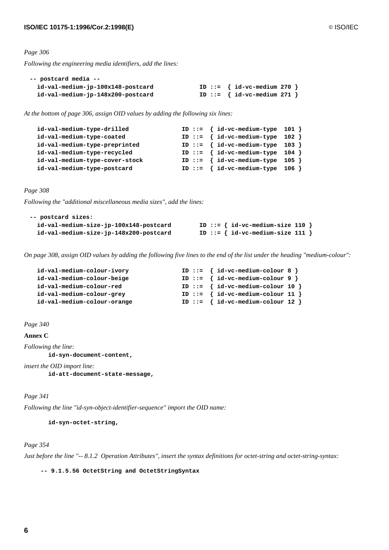*Following the engineering media identifiers, add the lines:*

| -- postcard media --              |                                 |
|-----------------------------------|---------------------------------|
| id-val-medium-jp-100x148-postcard | ID ::= $\{ id-vc-medium 270 \}$ |
| id-val-medium-jp-148x200-postcard | ID ::= $\{ id-vc-medium 271 \}$ |

*At the bottom of page 306, assign OID values by adding the following six lines:*

| id-val-medium-type-drilled     | ID ::= $\{ id-vc-medium-type 101 \}$ |
|--------------------------------|--------------------------------------|
| id-val-medium-type-coated      | ID ::= $\{ id-vc-medium-type 102 \}$ |
| id-val-medium-type-preprinted  | ID ::= $\{ id-vc-medium-type 103 \}$ |
| id-val-medium-type-recycled    | ID ::= $\{ id-vc-medium-type 104 \}$ |
| id-val-medium-type-cover-stock | ID ::= $\{ id-vc-medium-type 105 \}$ |
| id-val-medium-type-postcard    | ID ::= $\{ id-vc-medium-type 106 \}$ |

*Page 308*

*Following the "additional miscellaneous media sizes", add the lines:*

| -- postcard sizes:                     |                                      |
|----------------------------------------|--------------------------------------|
| id-val-medium-size-jp-100x148-postcard | ID ::= $\{ id-vc-medium-size 110 \}$ |
| id-val-medium-size-jp-148x200-postcard | ID ::= $\{ id-vc-medium-size 111 \}$ |

*On page 308, assign OID values by adding the following five lines to the end of the list under the heading "medium-colour":*

| id-val-medium-colour-ivory  |  | ID ::= $\{ id-vc-medium-colour 8 \}$  |  |
|-----------------------------|--|---------------------------------------|--|
| id-val-medium-colour-beige  |  | ID ::= $\{ id-vc-medium-colour 9 \}$  |  |
| id-val-medium-colour-red    |  | ID ::= $\{ id-vc-medium-colour 10 \}$ |  |
| id-val-medium-colour-grey   |  | ID ::= $\{ id-vc-medium-colour 11 \}$ |  |
| id-val-medium-colour-orange |  | ID ::= $\{ id-vc-medium-colour 12 \}$ |  |

#### *Page 340*

**Annex C**

*Following the line:*

**id-syn-document-content,**

*insert the OID import line:*

**id-att-document-state-message,**

*Page 341*

*Following the line "id-syn-object-identifier-sequence" import the OID name:*

**id-syn-octet-string,**

#### *Page 354*

*Just before the line "-- 8.1.2 Operation Attributes", insert the syntax definitions for octet-string and octet-string-syntax:*

 **-- 9.1.5.56 OctetString and OctetStringSyntax**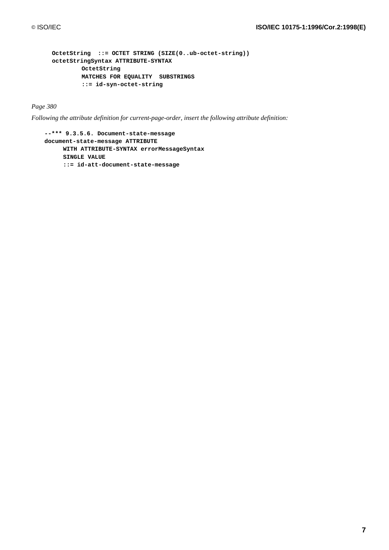```
OctetString ::= OCTET STRING (SIZE(0..ub-octet-string))
octetStringSyntax ATTRIBUTE-SYNTAX
        OctetString
        MATCHES FOR EQUALITY SUBSTRINGS
        ::= id-syn-octet-string
```
*Following the attribute definition for current-page-order, insert the following attribute definition:*

```
--*** 9.3.5.6. Document-state-message
document-state-message ATTRIBUTE
     WITH ATTRIBUTE-SYNTAX errorMessageSyntax
     SINGLE VALUE
     ::= id-att-document-state-message
```